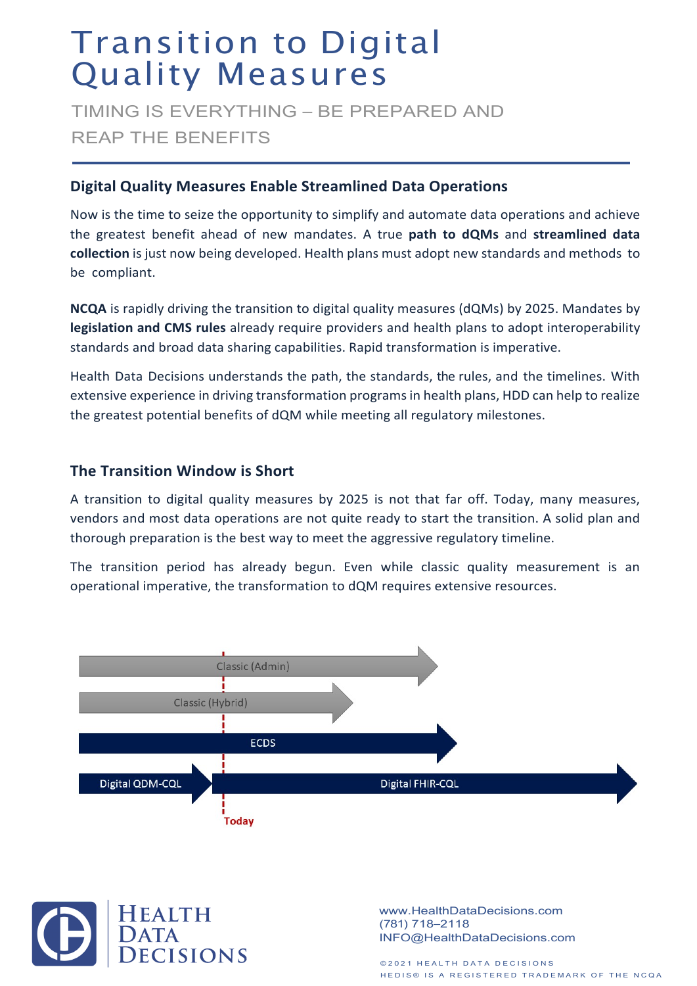# Transition to Digital Quality Measures

TIMING IS EVERYTHING – BE PREPARED AND REAP THE BENEFITS

### **Digital Quality Measures Enable Streamlined Data Operations**

Now is the time to seize the opportunity to simplify and automate data operations and achieve the greatest benefit ahead of new mandates. A true **path to dQMs** and **streamlined data collection** is just now being developed. Health plans must adopt new standards and methods to be compliant.

**NCQA** is rapidly driving the transition to digital quality measures (dQMs) by 2025. Mandates by **legislation and CMS rules** already require providers and health plans to adopt interoperability standards and broad data sharing capabilities. Rapid transformation is imperative.

Health Data Decisions understands the path, the standards, the rules, and the timelines. With extensive experience in driving transformation programs in health plans, HDD can help to realize the greatest potential benefits of dQM while meeting all regulatory milestones.

## **The Transition Window is Short**

A transition to digital quality measures by 2025 is not that far off. Today, many measures, vendors and most data operations are not quite ready to start the transition. A solid plan and thorough preparation is the best way to meet the aggressive regulatory timeline.

The transition period has already begun. Even while classic quality measurement is an operational imperative, the transformation to dQM requires extensive resources.





www.HealthDataDecisions.com (781) 718–2118 INFO@HealthDataDecisions.com